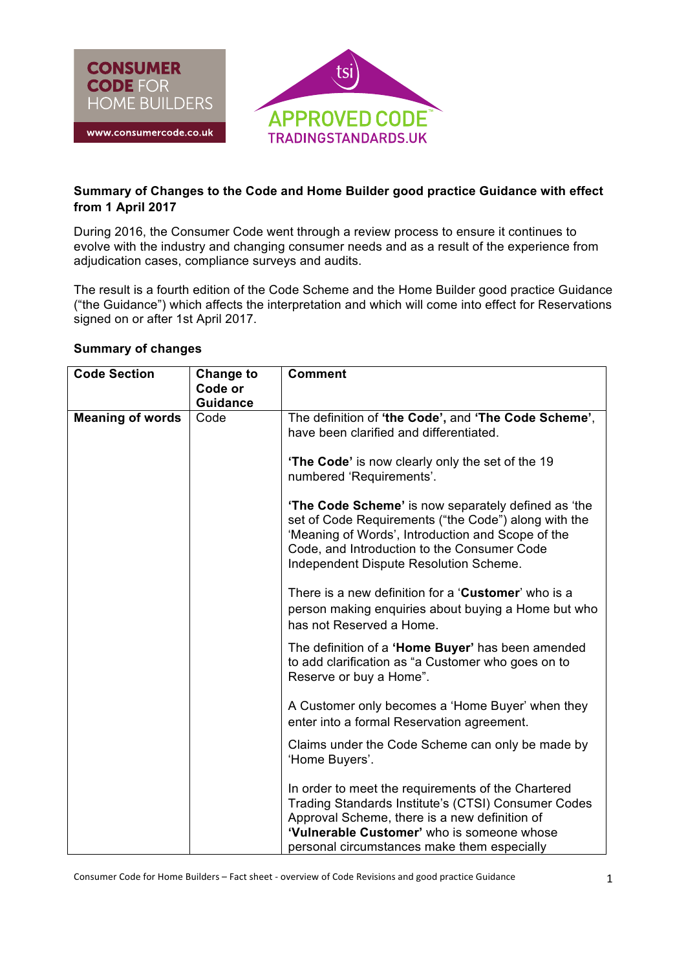

## **Summary of Changes to the Code and Home Builder good practice Guidance with effect from 1 April 2017**

During 2016, the Consumer Code went through a review process to ensure it continues to evolve with the industry and changing consumer needs and as a result of the experience from adjudication cases, compliance surveys and audits.

The result is a fourth edition of the Code Scheme and the Home Builder good practice Guidance ("the Guidance") which affects the interpretation and which will come into effect for Reservations signed on or after 1st April 2017.

## **Summary of changes**

| <b>Code Section</b>     | <b>Change to</b><br>Code or<br><b>Guidance</b> | <b>Comment</b>                                                                                                                                                                                                                                            |
|-------------------------|------------------------------------------------|-----------------------------------------------------------------------------------------------------------------------------------------------------------------------------------------------------------------------------------------------------------|
| <b>Meaning of words</b> | Code                                           | The definition of 'the Code', and 'The Code Scheme',<br>have been clarified and differentiated.                                                                                                                                                           |
|                         |                                                | <b>The Code'</b> is now clearly only the set of the 19<br>numbered 'Requirements'.                                                                                                                                                                        |
|                         |                                                | 'The Code Scheme' is now separately defined as 'the<br>set of Code Requirements ("the Code") along with the<br>'Meaning of Words', Introduction and Scope of the<br>Code, and Introduction to the Consumer Code<br>Independent Dispute Resolution Scheme. |
|                         |                                                | There is a new definition for a 'Customer' who is a<br>person making enquiries about buying a Home but who<br>has not Reserved a Home.                                                                                                                    |
|                         |                                                | The definition of a 'Home Buyer' has been amended<br>to add clarification as "a Customer who goes on to<br>Reserve or buy a Home".                                                                                                                        |
|                         |                                                | A Customer only becomes a 'Home Buyer' when they<br>enter into a formal Reservation agreement.                                                                                                                                                            |
|                         |                                                | Claims under the Code Scheme can only be made by<br>'Home Buyers'.                                                                                                                                                                                        |
|                         |                                                | In order to meet the requirements of the Chartered<br>Trading Standards Institute's (CTSI) Consumer Codes<br>Approval Scheme, there is a new definition of<br>'Vulnerable Customer' who is someone whose<br>personal circumstances make them especially   |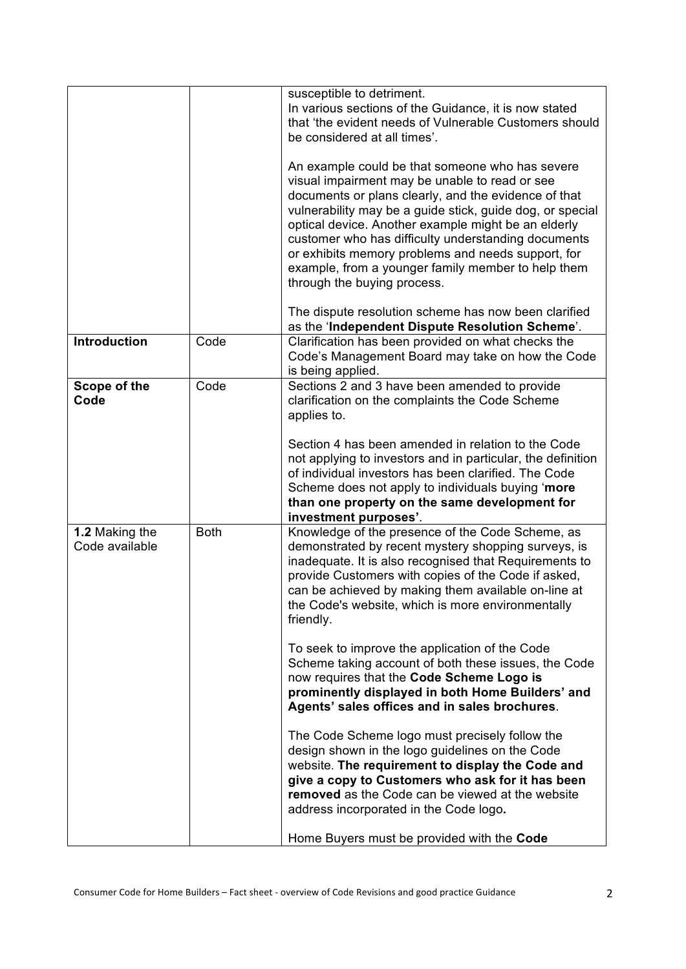|                                  |             | susceptible to detriment.<br>In various sections of the Guidance, it is now stated<br>that 'the evident needs of Vulnerable Customers should<br>be considered at all times'.                                                                                                                                                                                                                                                                                                    |
|----------------------------------|-------------|---------------------------------------------------------------------------------------------------------------------------------------------------------------------------------------------------------------------------------------------------------------------------------------------------------------------------------------------------------------------------------------------------------------------------------------------------------------------------------|
|                                  |             | An example could be that someone who has severe<br>visual impairment may be unable to read or see<br>documents or plans clearly, and the evidence of that<br>vulnerability may be a guide stick, guide dog, or special<br>optical device. Another example might be an elderly<br>customer who has difficulty understanding documents<br>or exhibits memory problems and needs support, for<br>example, from a younger family member to help them<br>through the buying process. |
|                                  |             | The dispute resolution scheme has now been clarified<br>as the 'Independent Dispute Resolution Scheme'.                                                                                                                                                                                                                                                                                                                                                                         |
| Introduction                     | Code        | Clarification has been provided on what checks the<br>Code's Management Board may take on how the Code<br>is being applied.                                                                                                                                                                                                                                                                                                                                                     |
| Scope of the<br>Code             | Code        | Sections 2 and 3 have been amended to provide<br>clarification on the complaints the Code Scheme<br>applies to.<br>Section 4 has been amended in relation to the Code                                                                                                                                                                                                                                                                                                           |
|                                  |             | not applying to investors and in particular, the definition<br>of individual investors has been clarified. The Code<br>Scheme does not apply to individuals buying 'more<br>than one property on the same development for<br>investment purposes'.                                                                                                                                                                                                                              |
| 1.2 Making the<br>Code available | <b>Both</b> | Knowledge of the presence of the Code Scheme, as<br>demonstrated by recent mystery shopping surveys, is<br>inadequate. It is also recognised that Requirements to<br>provide Customers with copies of the Code if asked,<br>can be achieved by making them available on-line at<br>the Code's website, which is more environmentally<br>friendly.                                                                                                                               |
|                                  |             | To seek to improve the application of the Code<br>Scheme taking account of both these issues, the Code<br>now requires that the Code Scheme Logo is<br>prominently displayed in both Home Builders' and<br>Agents' sales offices and in sales brochures.                                                                                                                                                                                                                        |
|                                  |             | The Code Scheme logo must precisely follow the<br>design shown in the logo guidelines on the Code<br>website. The requirement to display the Code and<br>give a copy to Customers who ask for it has been<br>removed as the Code can be viewed at the website<br>address incorporated in the Code logo.                                                                                                                                                                         |
|                                  |             | Home Buyers must be provided with the Code                                                                                                                                                                                                                                                                                                                                                                                                                                      |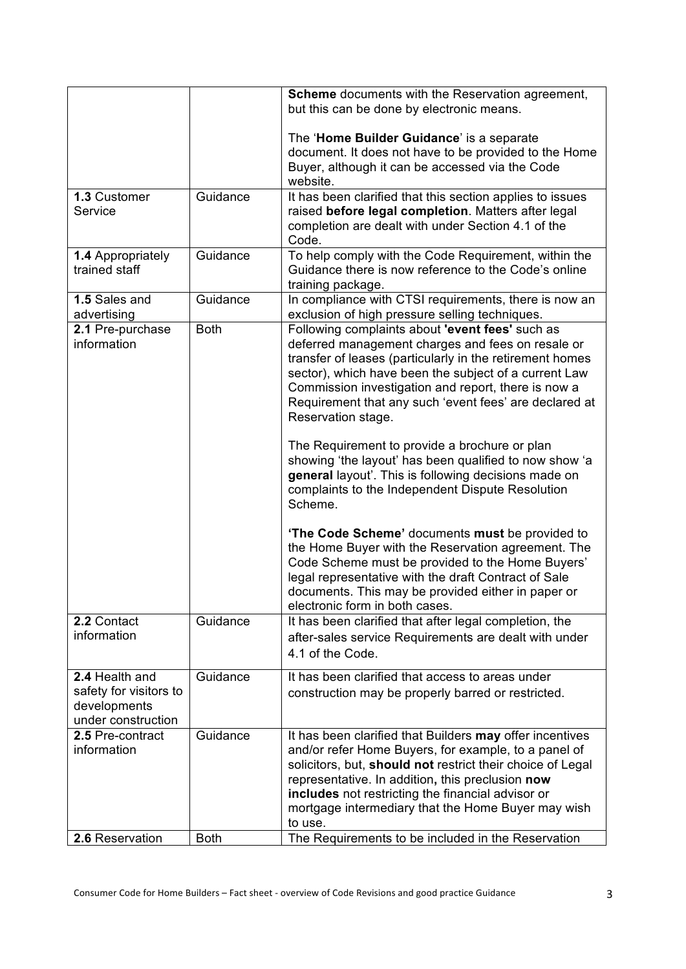|                              |             | <b>Scheme</b> documents with the Reservation agreement,                                                  |
|------------------------------|-------------|----------------------------------------------------------------------------------------------------------|
|                              |             | but this can be done by electronic means.                                                                |
|                              |             |                                                                                                          |
|                              |             | The 'Home Builder Guidance' is a separate<br>document. It does not have to be provided to the Home       |
|                              |             | Buyer, although it can be accessed via the Code                                                          |
|                              |             | website.                                                                                                 |
| 1.3 Customer                 | Guidance    | It has been clarified that this section applies to issues                                                |
| Service                      |             | raised before legal completion. Matters after legal                                                      |
|                              |             | completion are dealt with under Section 4.1 of the                                                       |
|                              |             | Code.                                                                                                    |
| <b>1.4 Appropriately</b>     | Guidance    | To help comply with the Code Requirement, within the                                                     |
| trained staff                |             | Guidance there is now reference to the Code's online                                                     |
|                              | Guidance    | training package.                                                                                        |
| 1.5 Sales and<br>advertising |             | In compliance with CTSI requirements, there is now an<br>exclusion of high pressure selling techniques.  |
| 2.1 Pre-purchase             | <b>Both</b> | Following complaints about 'event fees' such as                                                          |
| information                  |             | deferred management charges and fees on resale or                                                        |
|                              |             | transfer of leases (particularly in the retirement homes                                                 |
|                              |             | sector), which have been the subject of a current Law                                                    |
|                              |             | Commission investigation and report, there is now a                                                      |
|                              |             | Requirement that any such 'event fees' are declared at                                                   |
|                              |             | Reservation stage.                                                                                       |
|                              |             | The Requirement to provide a brochure or plan                                                            |
|                              |             | showing 'the layout' has been qualified to now show 'a                                                   |
|                              |             | general layout'. This is following decisions made on                                                     |
|                              |             | complaints to the Independent Dispute Resolution                                                         |
|                              |             | Scheme.                                                                                                  |
|                              |             |                                                                                                          |
|                              |             | 'The Code Scheme' documents must be provided to                                                          |
|                              |             | the Home Buyer with the Reservation agreement. The                                                       |
|                              |             | Code Scheme must be provided to the Home Buyers'<br>legal representative with the draft Contract of Sale |
|                              |             | documents. This may be provided either in paper or                                                       |
|                              |             | electronic form in both cases.                                                                           |
| 2.2 Contact                  | Guidance    | It has been clarified that after legal completion, the                                                   |
| information                  |             | after-sales service Requirements are dealt with under                                                    |
|                              |             | 4.1 of the Code.                                                                                         |
| 2.4 Health and               | Guidance    | It has been clarified that access to areas under                                                         |
| safety for visitors to       |             | construction may be properly barred or restricted.                                                       |
| developments                 |             |                                                                                                          |
| under construction           |             |                                                                                                          |
| 2.5 Pre-contract             | Guidance    | It has been clarified that Builders may offer incentives                                                 |
| information                  |             | and/or refer Home Buyers, for example, to a panel of                                                     |
|                              |             | solicitors, but, should not restrict their choice of Legal                                               |
|                              |             | representative. In addition, this preclusion now                                                         |
|                              |             | includes not restricting the financial advisor or                                                        |
|                              |             | mortgage intermediary that the Home Buyer may wish                                                       |
|                              |             | to use.                                                                                                  |
| 2.6 Reservation              | <b>Both</b> | The Requirements to be included in the Reservation                                                       |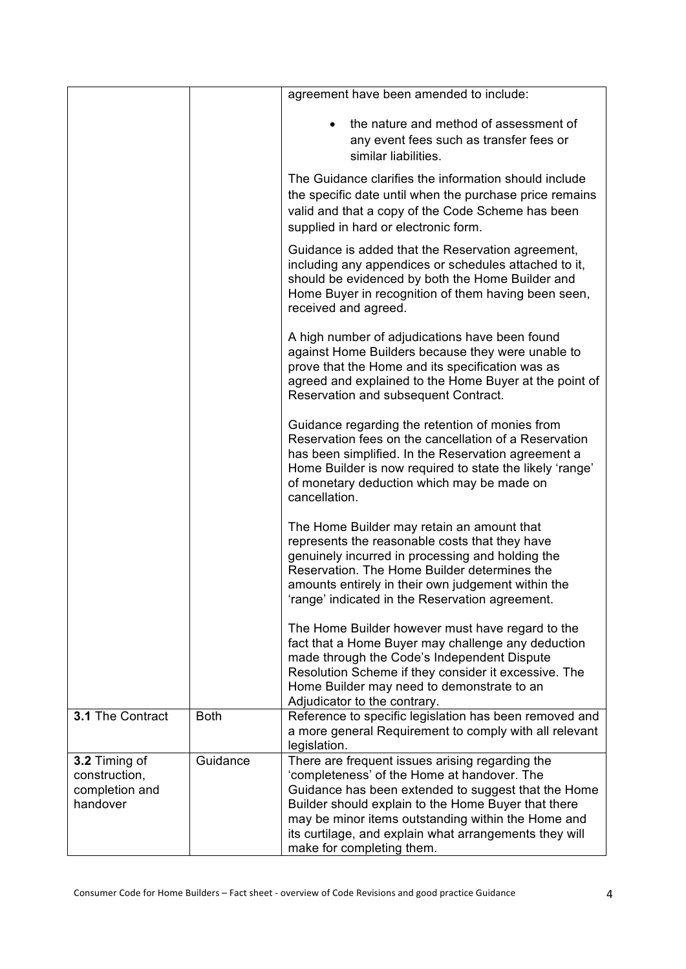|                                                              |             | agreement have been amended to include:                                                                                                                                                                                                                                                                                                                   |
|--------------------------------------------------------------|-------------|-----------------------------------------------------------------------------------------------------------------------------------------------------------------------------------------------------------------------------------------------------------------------------------------------------------------------------------------------------------|
|                                                              |             | the nature and method of assessment of<br>any event fees such as transfer fees or<br>similar liabilities.                                                                                                                                                                                                                                                 |
|                                                              |             | The Guidance clarifies the information should include<br>the specific date until when the purchase price remains<br>valid and that a copy of the Code Scheme has been<br>supplied in hard or electronic form.                                                                                                                                             |
|                                                              |             | Guidance is added that the Reservation agreement,<br>including any appendices or schedules attached to it,<br>should be evidenced by both the Home Builder and<br>Home Buyer in recognition of them having been seen,<br>received and agreed.                                                                                                             |
|                                                              |             | A high number of adjudications have been found<br>against Home Builders because they were unable to<br>prove that the Home and its specification was as<br>agreed and explained to the Home Buyer at the point of<br>Reservation and subsequent Contract.                                                                                                 |
|                                                              |             | Guidance regarding the retention of monies from<br>Reservation fees on the cancellation of a Reservation<br>has been simplified. In the Reservation agreement a<br>Home Builder is now required to state the likely 'range'<br>of monetary deduction which may be made on<br>cancellation.                                                                |
|                                                              |             | The Home Builder may retain an amount that<br>represents the reasonable costs that they have<br>genuinely incurred in processing and holding the<br>Reservation. The Home Builder determines the<br>amounts entirely in their own judgement within the<br>'range' indicated in the Reservation agreement.                                                 |
|                                                              |             | The Home Builder however must have regard to the<br>fact that a Home Buyer may challenge any deduction<br>made through the Code's Independent Dispute<br>Resolution Scheme if they consider it excessive. The<br>Home Builder may need to demonstrate to an<br>Adjudicator to the contrary.                                                               |
| 3.1 The Contract                                             | <b>Both</b> | Reference to specific legislation has been removed and<br>a more general Requirement to comply with all relevant<br>legislation.                                                                                                                                                                                                                          |
| 3.2 Timing of<br>construction,<br>completion and<br>handover | Guidance    | There are frequent issues arising regarding the<br>'completeness' of the Home at handover. The<br>Guidance has been extended to suggest that the Home<br>Builder should explain to the Home Buyer that there<br>may be minor items outstanding within the Home and<br>its curtilage, and explain what arrangements they will<br>make for completing them. |